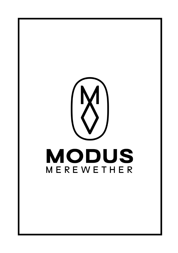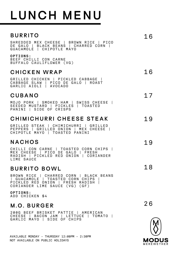# **LUNCH MENU**

#### **B U RRI T O** SHREDDED MEX CHEESE | BROWN RICE | PICO DE GALO | BLACK BEANS | CHARRED CORN | GUACAMOLE | CHIPOTLE MAYO **O P T I O N S :** BEEF CHILLI CON CARNE BUFFALO CAULIFLOWER (VG) **C H I C K E N WR A P** GRILLED CHICKEN | PICKLED CABBAGE | CABBAGE SLAW | PICO DE GALO | ROAST GARLIC AIOLI | AVOCADO **C U B A N O** MOJO PORK | SMOKED HAM | SWISS CHEESE | SEEDED MUSTARD | PICKLES | TOASTED PANINI | SIDE OF CRISPS **C H I M I C H U RRI C H E E S E ST E A K** GRILLED STEAK | CHIMICHURRI | GRILLED PEPPERS | GRILLED ONION | MEX CHEESE | CHIPOTLE MAYO | TOASTED PANINI **N A C H O S** CHILLI CON CARNE | TOASTED CORN CHIPS | MEX CHEESE | PICO DE GALO | FRESH RADISH | PICKLED RED ONION | CORIANDER L TME SAUCE **B U RRI T O B OWL** BROWN RICE | CHARRED CORN | BLACK BEANS | GUACAMOLE | TOASTED CORN CHIPS | PICKLED RED ONION | FRESH RADISH | CORIANDER LIME SAUCE (VG) (GF) **O P T I O N S :** 1 6 1 6 1 7 1 9 1 9 1 8

ADD CHICKEN \$4

## **M .O . B U R G E R**

200G BEEF BRISKET PATTIE | AMERICAN CHEESE | BACON JAM | LETTUCE | TOMATO | GARLIC MAYO | SIDE OF CHIPS

AVAILABLE MONDAY - THURSDAY 12:00PM - 2:30PM NOT AVAILABLE ON PUBLIC HOLIDAYS

2 6

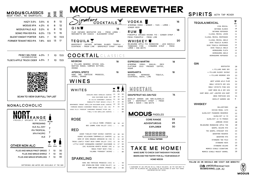| <b>MODUSCLASSICS</b>                          |                     |                     |                                     | $\boxed{\bigotimes}_{570mL}$ |                                                                                                                                                                                                                    |                       | <b>MODUS MEREWETHER</b>                                                                                                                                                   |    |
|-----------------------------------------------|---------------------|---------------------|-------------------------------------|------------------------------|--------------------------------------------------------------------------------------------------------------------------------------------------------------------------------------------------------------------|-----------------------|---------------------------------------------------------------------------------------------------------------------------------------------------------------------------|----|
| BEER FIRST, NO SHORTCUTS.                     |                     | $\frac{10}{285mL}$  | $\boxed{\bigotimes}_{425\text{mL}}$ |                              | <i>gnature</i>                                                                                                                                                                                                     |                       |                                                                                                                                                                           |    |
| HAZY 3.5% 3.5% 6                              |                     |                     | 8                                   | 12                           | COCKTAILS                                                                                                                                                                                                          |                       | <b>VODKA</b>                                                                                                                                                              | 16 |
| MODUS XPA 4.2% 6                              |                     |                     | 8                                   | 12                           |                                                                                                                                                                                                                    |                       | WYBOROWA VODKA - GINGER - YUZU - LEMON -<br>GINGER BEER                                                                                                                   |    |
| <b>MODUS PALE ALE</b>                         | 5.2%                | -6                  | 8                                   | $12 \,$                      | GINU                                                                                                                                                                                                               | 18                    |                                                                                                                                                                           | 18 |
| SONIC PRAYER IPA 6.0%                         |                     | 7.5                 | -11-                                | 15                           | PLUM INFUSED BEEFEATER GIN - FRESH LEMON -<br>MARIONETTE DRY CASSIS - BLACKBERRY SYRUP                                                                                                                             |                       | <b>RUM</b><br>PINEAPPLE INFUSED HAVANA 7YO - GINGER SYRUP -                                                                                                               |    |
| SILENT KNIGHT PORTER 5.6%                     |                     | 7                   | 10                                  | 13.5                         |                                                                                                                                                                                                                    |                       | FRESH PINEAPPLE - FRESH LIME                                                                                                                                              |    |
| FORMER TENANT RED IPA 7.8%                    |                     | -8.5                | 13                                  | 17                           | TEQUILA T<br>GRAPEFRUIT INFUSED BATANGA BLANCO TEQUILA -<br>COINTREAU - FRESH LIME - GRAPEFRUIT SYRUP - AGAVE                                                                                                      | 18                    | WHISKEY<br>MELBOURNE APPLE PIE MOONSHINE - JACK DANIELS<br>TENNESSEE FIRE - CINNAMON SYRUP - FRESH<br>LEMON   EGG WHITE                                                   | 20 |
| PERKY SELTZER 4.0% 7<br>(WATERMELON & LIME)   |                     |                     | 10                                  | 13.5                         | <b>COCKTAIL</b> CLASSICS                                                                                                                                                                                           |                       |                                                                                                                                                                           |    |
| TILSE'S APPLE TRUCK CIDER 4.5%                |                     | 7                   | 10 I                                | 13.5                         | <b>NEGRONI</b><br>4 PILLARS NEGRONI SPICED GIN,<br>MARTINI ROSSO, CAMPARI BITTERS,<br>ORANGE                                                                                                                       | 18                    | <b>ESPRESSO MARTINI</b><br>VODKA, KAHLUA,<br><b>WYBOROWA</b><br>ONYX<br>COLD PRESSED<br>PLATINUM<br>COFFEE,<br><b>SUGAR</b>                                               | 18 |
|                                               |                     |                     |                                     |                              | <b>APEROL SPRITZ</b><br>HARE AND TORTOISE PROSECCO,<br>APEROL, ORANGE                                                                                                                                              | 16                    | <b>MARGARITA</b><br>REP0SADO<br><b>BATANGA</b><br>TEQUILA,<br>COINTREAU, AGAVE, LIME                                                                                      | 18 |
|                                               |                     |                     |                                     |                              | WINES                                                                                                                                                                                                              |                       |                                                                                                                                                                           |    |
|                                               |                     |                     |                                     |                              | <b>WHITES</b>                                                                                                                                                                                                      | 250mL BOTTLE          | MOCKTAIL                                                                                                                                                                  |    |
| <b>SCAN TO VIEW OUR FULL TAP LIST</b>         |                     |                     |                                     |                              | SADDLERS CREEK VERDELHO (HUNTER) 11 18 50<br>HAHA SAUVIGNON BLANC (NZ) 10 16 45<br>DE IULIIS CHARDONNAY (HUNTER) 11 18 50                                                                                          |                       | <b>GRAPEFRUIT NO-GIN FIZZ</b><br>SEEDLIP GARDEN 108 NON-ALCOHOLIC                                                                                                         | 14 |
| NONALCOHOLIC                                  |                     |                     |                                     |                              | MANDOLETTO PINOT GRIGIO (ITALY) 8 13 38<br>BROKENWOOD "8ROWS" SEMILLION SAUVIGNON BLANC (HUNTER) 12<br>FARMHAND ORGANIC CHARDONNAY MONASH VALLEY (SA) (VG)<br>VASSE FELIX "PREMIUM" CHARDONNAY MARGARET RIVER (WA) | 19 55<br>14 40<br>80  | GIN  <br>GRAPEFRUIT SYRUP<br>FRESH<br>LEMON   AGAVE   EGG WHITE                                                                                                           |    |
| <b>NODT</b><br><b>NUNI</b> RANGE              |                     |                     |                                     |                              | TYRELL'S HVD SEMILLION (HUNTER) -                                                                                                                                                                                  | 90<br>$-$             | <b>MODUS PADDLES</b>                                                                                                                                                      |    |
| PROUDLY BREWED BY MODUS                       |                     |                     |                                     |                              | <b>ROSE</b>                                                                                                                                                                                                        |                       | <b>CORE RANGE</b>                                                                                                                                                         | 22 |
|                                               | <b>REFRESHING</b>   | <b>BTL/CAN</b><br>7 |                                     |                              | LA VIELLE FERME (FRANCE) 10                                                                                                                                                                                        | 16<br>- 45            | <b>ADVENTUROUS</b>                                                                                                                                                        | 25 |
|                                               | ALE ALL DAY         |                     |                                     |                              | BOE 1500ML KING VALLEY (VIC) -                                                                                                                                                                                     | 89                    | <b>EXPLORER</b>                                                                                                                                                           | 30 |
|                                               | <b>IPA TROPICAL</b> |                     |                                     |                              | <b>RED</b>                                                                                                                                                                                                         |                       |                                                                                                                                                                           |    |
|                                               | <b>XPA PACIFIC</b>  | 7                   |                                     |                              | USHER TINKLER PINOT SHIRAZ (HUNTER) 13                                                                                                                                                                             | 20<br>-58             |                                                                                                                                                                           |    |
|                                               | <b>ALE</b>          | -7                  |                                     |                              | AUDREY WILKINSON TEMPRANILLO (HUNTER) 12<br>HERO OF ZERO ORGANIC GRENACHE SA (VG) 9                                                                                                                                | 19<br>-54<br>14<br>40 | 6 X100mL TASTINGS                                                                                                                                                         |    |
|                                               |                     |                     |                                     |                              | TREAD LIGHTLY PINOT NOIR YARRA VALLEY (VIC) 11                                                                                                                                                                     | 18<br>-52             |                                                                                                                                                                           |    |
| <b>OTHER NON ALC</b>                          |                     | <b>150mL</b>        | 250mL                               | <b>BTL</b>                   | LITTLE GIANT COONAWARRA CABERNET SAUVIGNON 11 17<br>(SA) BLEEDING HEARTS SHIRAZ (SA) 8                                                                                                                             | 50<br>13<br>- 38      |                                                                                                                                                                           |    |
| PLUS AND MINUS PINOT GRIGIO 7                 |                     |                     | 10                                  | 30                           | MANIA PINOT NOIR (TAS) -                                                                                                                                                                                           | - 75<br>$\sim$        | <b>TAKE ME HOME!</b>                                                                                                                                                      |    |
| PLUS AND MINUS SHIRAZ 7                       |                     |                     | 10                                  | 30                           | YALUMBA "PARADOX" SHIRAZ -                                                                                                                                                                                         | 90                    | <b>MAKE SURE TO CHECK OUR TAKEAWAY PACKAGE</b>                                                                                                                            |    |
| PLUS AND MINUS SPARKLING 7                    |                     |                     | 10                                  | 30                           | <b>SPARKLING</b>                                                                                                                                                                                                   |                       | BEERS AND THE PANTRY FOR ALL YOUR MODUS AT                                                                                                                                |    |
|                                               |                     |                     |                                     |                              |                                                                                                                                                                                                                    |                       | <b>HOME NEEDS</b>                                                                                                                                                         |    |
| SOFTDRINKS AND WATER ARE AVAILABLE AT THE BAR |                     |                     |                                     |                              | HARE AND TORTOISE PROSECCO (VIC) 8<br>BOE SPARKLING ROSE (KING VALLEY) 12                                                                                                                                          | 38<br>55              |                                                                                                                                                                           |    |
|                                               |                     |                     |                                     |                              | MUMM GRAND CORDON (FRANCE) 20                                                                                                                                                                                      | 98<br>$\sim$          | A SURCHARGE OF 10% APPLIES ON ALL PUBLIC HOLIDAYS. WE TRY OUR BEST TO<br>CATER FOR ALLERGIES BUT THE NATURE OF OUR KITCHEN IS SUCH THAT CROSS<br>CONTAMINATION MAY OCCUR. |    |

## SPIRITS WITH TAP MIXER

| <b>TEQUILA/MEXCAL</b>                   | 30mL     |
|-----------------------------------------|----------|
| VIDA MEXCAL                             | 12       |
| BATANGA BLANCO                          | 10       |
| BATANGA REPOSADO                        | 10       |
| ILLEGAL MEZCAL JOVEN                    | 14       |
| ILLEGAL MEZCAL RESPOSADO                | 16       |
| ILLEGAL MEZCAL ANEJO                    | 21       |
| OCHO TEQUILA BLANCO                     | 14       |
| OCHO TEQUILA RESPOSADO                  | 15       |
| OCHO TEQUILA ANEJO                      | 18       |
| HERRADURRA PLATA                        | 13       |
| HERRADURRA ANEJO<br>HERRADURRA REPOSADO | 15<br>14 |
| GIN                                     |          |
| <b>BEEFEATER</b>                        | 10       |
| 4 PILLARS RARE DRY                      | 12       |
| 4 PILLARS BLOODY SHIRAZ                 | 13       |
| 4 PILLARS NEGRONI GIN                   | 13       |
| MGC                                     | 11       |
| WEST WINDS WILD PLUM                    | 14       |
| MANLY SPIRITS DRY GIN                   | 12       |
| MANLY SPIRITS PINK GIN                  | 12       |
| EARP BROS NO.8 DRY GIN                  | 12       |
| EARP BROS JUST JUNIPER GIN EARP         | 12       |
| BROS PORTSIDE GIN                       | 14       |
| SEEDLIP GARDEN 108                      | 8        |
| <b>WHISKEY</b>                          |          |
| <b>BALLENTINES</b>                      | 10       |
| CHIVAS REGAL 12YO                       | 11       |
| <b>GLENLIVET FOUNDERS RESERRVE</b>      | 12       |
| GLENLIVET 12 YO                         | 13       |
| GLENLIVET 15 YO FRENCH                  | 16       |
| JAMESON IRISH                           | 10       |
| MELBOURNE MOONSHINE APPLE THE           | 10       |
| <b>GOSPEL SOLERA RYE</b>                | 12       |
| THE GOSPEL STRAIGHT RYE                 | 13       |
| <b>WOODFORD RESERVE</b>                 | 11       |
| <b>WOODFORD RYE</b>                     | 13       |
| STARWARD TWO FOLD                       | 11       |
|                                         |          |
| STARWARD NOVA                           | 13       |
| STARWARD SOLERA                         | 16       |
| MORRIS SINGLE SIGNATURE                 | 13       |
| MORRIS SINGLE MUSCAT BARREL             | 18       |

@**MODUS**MEREWETHER **MOBREWING**.COM.AU



**FOLLOW US ON SOCIALS AND VISIT OUR WEBSITE!**